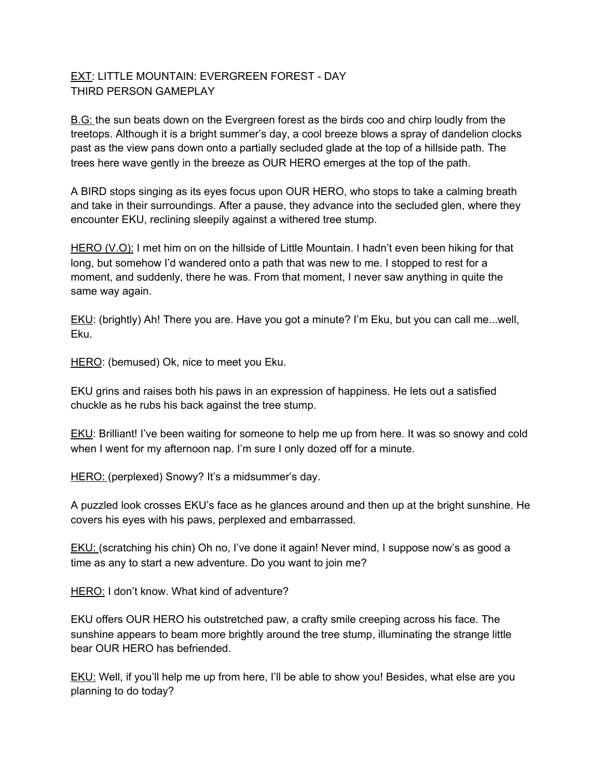## EXT: LITTLE MOUNTAIN: EVERGREEN FOREST - DAY THIRD PERSON GAMEPLAY

B.G: the sun beats down on the Evergreen forest as the birds coo and chirp loudly from the treetops. Although it is a bright summer's day, a cool breeze blows a spray of dandelion clocks past as the view pans down onto a partially secluded glade at the top of a hillside path. The trees here wave gently in the breeze as OUR HERO emerges at the top of the path.

A BIRD stops singing as its eyes focus upon OUR HERO, who stops to take a calming breath and take in their surroundings. After a pause, they advance into the secluded glen, where they encounter EKU, reclining sleepily against a withered tree stump.

HERO (V.O): I met him on on the hillside of Little Mountain. I hadn't even been hiking for that long, but somehow I'd wandered onto a path that was new to me. I stopped to rest for a moment, and suddenly, there he was. From that moment, I never saw anything in quite the same way again.

EKU: (brightly) Ah! There you are. Have you got a minute? I'm Eku, but you can call me...well, Eku.

HERO: (bemused) Ok, nice to meet you Eku.

EKU grins and raises both his paws in an expression of happiness. He lets out a satisfied chuckle as he rubs his back against the tree stump.

EKU: Brilliant! I've been waiting for someone to help me up from here. It was so snowy and cold when I went for my afternoon nap. I'm sure I only dozed off for a minute.

HERO: (perplexed) Snowy? It's a midsummer's day.

A puzzled look crosses EKU's face as he glances around and then up at the bright sunshine. He covers his eyes with his paws, perplexed and embarrassed.

EKU: (scratching his chin) Oh no, I've done it again! Never mind, I suppose now's as good a time as any to start a new adventure. Do you want to join me?

HERO: I don't know. What kind of adventure?

EKU offers OUR HERO his outstretched paw, a crafty smile creeping across his face. The sunshine appears to beam more brightly around the tree stump, illuminating the strange little bear OUR HERO has befriended.

EKU: Well, if you'll help me up from here, I'll be able to show you! Besides, what else are you planning to do today?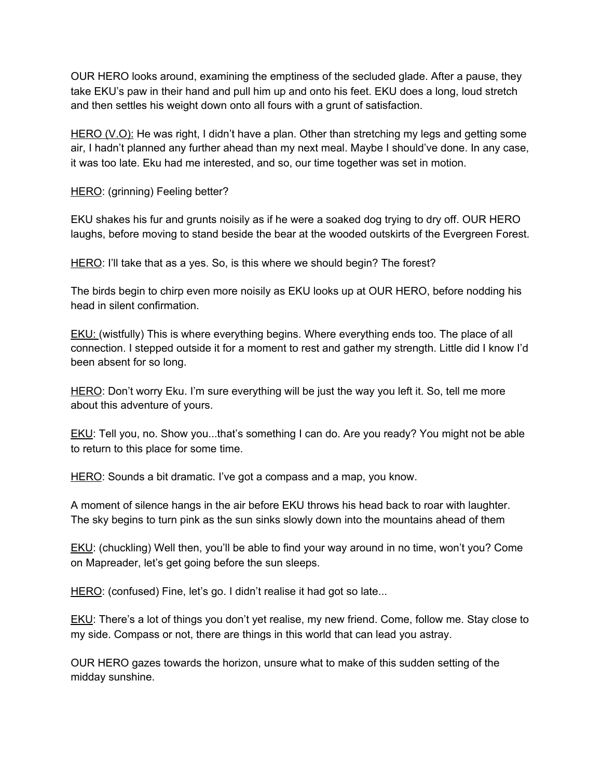OUR HERO looks around, examining the emptiness of the secluded glade. After a pause, they take EKU's paw in their hand and pull him up and onto his feet. EKU does a long, loud stretch and then settles his weight down onto all fours with a grunt of satisfaction.

HERO (V.O): He was right, I didn't have a plan. Other than stretching my legs and getting some air, I hadn't planned any further ahead than my next meal. Maybe I should've done. In any case, it was too late. Eku had me interested, and so, our time together was set in motion.

HERO: (grinning) Feeling better?

EKU shakes his fur and grunts noisily as if he were a soaked dog trying to dry off. OUR HERO laughs, before moving to stand beside the bear at the wooded outskirts of the Evergreen Forest.

HERO: I'll take that as a yes. So, is this where we should begin? The forest?

The birds begin to chirp even more noisily as EKU looks up at OUR HERO, before nodding his head in silent confirmation.

**EKU:** (wistfully) This is where everything begins. Where everything ends too. The place of all connection. I stepped outside it for a moment to rest and gather my strength. Little did I know I'd been absent for so long.

HERO: Don't worry Eku. I'm sure everything will be just the way you left it. So, tell me more about this adventure of yours.

EKU: Tell you, no. Show you...that's something I can do. Are you ready? You might not be able to return to this place for some time.

HERO: Sounds a bit dramatic. I've got a compass and a map, you know.

A moment of silence hangs in the air before EKU throws his head back to roar with laughter. The sky begins to turn pink as the sun sinks slowly down into the mountains ahead of them

EKU: (chuckling) Well then, you'll be able to find your way around in no time, won't you? Come on Mapreader, let's get going before the sun sleeps.

HERO: (confused) Fine, let's go. I didn't realise it had got so late...

**EKU:** There's a lot of things you don't yet realise, my new friend. Come, follow me. Stay close to my side. Compass or not, there are things in this world that can lead you astray.

OUR HERO gazes towards the horizon, unsure what to make of this sudden setting of the midday sunshine.